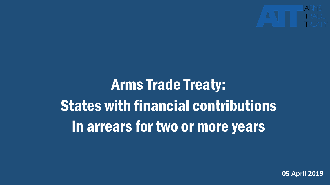

# Arms Trade Treaty: States with financial contributions in arrears for two or more years

**05 April 2019**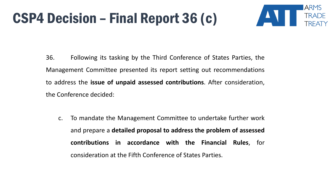#### CSP4 Decision – Final Report 36 (c)



36. Following its tasking by the Third Conference of States Parties, the Management Committee presented its report setting out recommendations to address the **issue of unpaid assessed contributions**. After consideration, the Conference decided:

c. To mandate the Management Committee to undertake further work and prepare a **detailed proposal to address the problem of assessed contributions in accordance with the Financial Rules**, for consideration at the Fifth Conference of States Parties.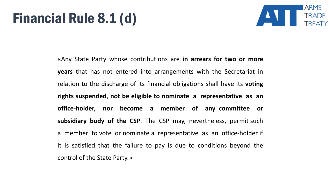#### Financial Rule 8.1 (d)



«Any State Party whose contributions are **in arrears for two or more years** that has not entered into arrangements with the Secretariat in relation to the discharge of its financial obligations shall have its **voting rights suspended**, **not be eligible to nominate a representative as an office-holder, nor become a member of any committee or subsidiary body of the CSP**. The CSP may, nevertheless, permit such a member to vote or nominate a representative as an office-holder if it is satisfied that the failure to pay is due to conditions beyond the control of the State Party.»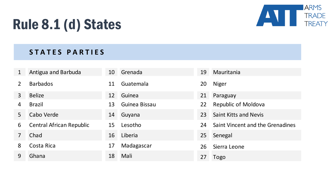

## Rule 8.1 (d) States

#### **S T A T E S P A R T I E S**

|                | Antigua and Barbuda      | 10 | Grenada       | 19 | Mauritania                       |
|----------------|--------------------------|----|---------------|----|----------------------------------|
|                | <b>Barbados</b>          | 11 | Guatemala     | 20 | <b>Niger</b>                     |
| 3              | <b>Belize</b>            | 12 | Guinea        | 21 | Paraguay                         |
| 4              | <b>Brazil</b>            | 13 | Guinea Bissau | 22 | <b>Republic of Moldova</b>       |
| 5 <sup>1</sup> | Cabo Verde               | 14 | Guyana        | 23 | <b>Saint Kitts and Nevis</b>     |
| 6              | Central African Republic | 15 | Lesotho       | 24 | Saint Vincent and the Grenadines |
|                | Chad                     | 16 | Liberia       | 25 | Senegal                          |
| 8              | Costa Rica               | 17 | Madagascar    | 26 | Sierra Leone                     |
| 9              | Ghana                    | 18 | Mali          | 27 | Togo                             |